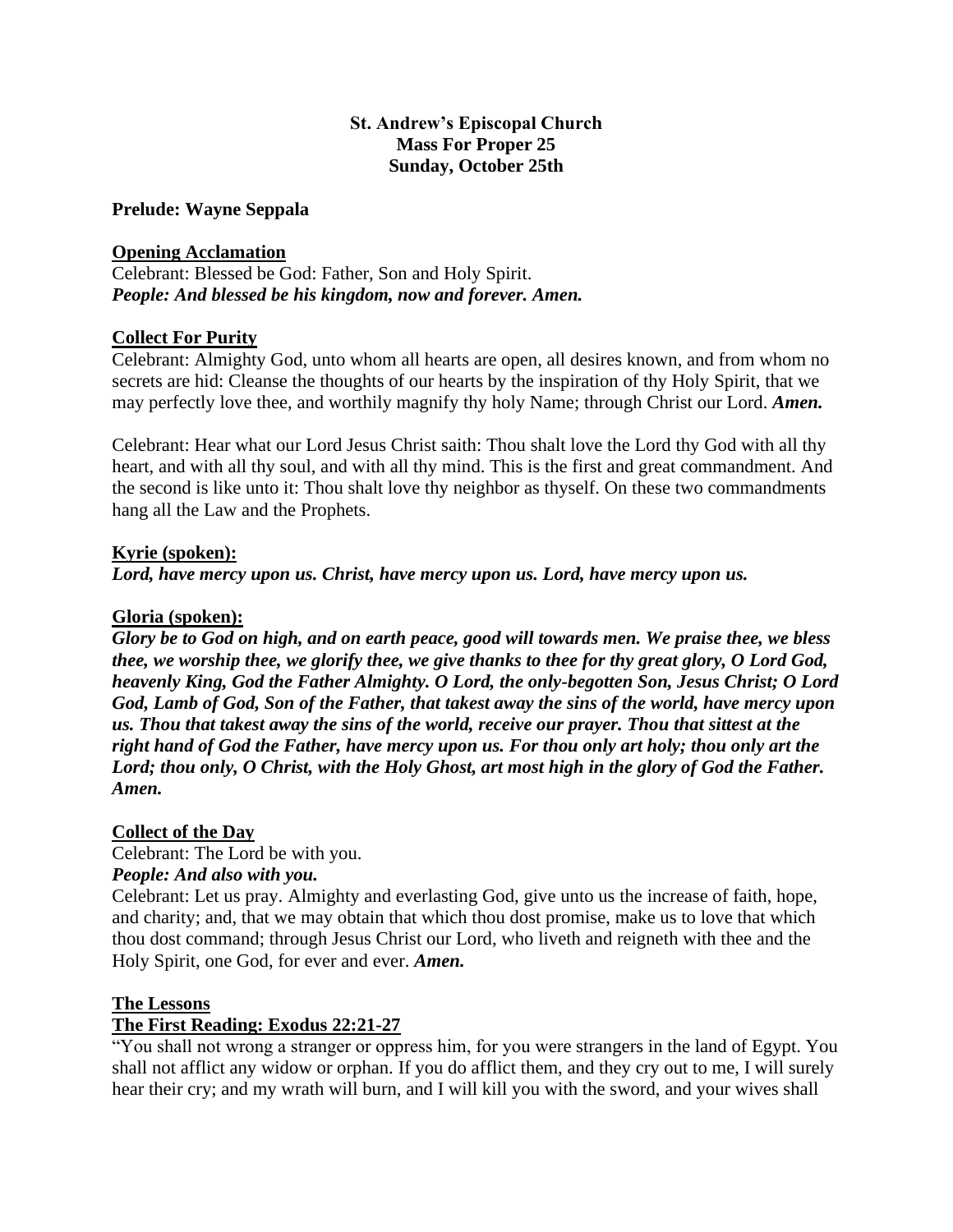## **St. Andrew's Episcopal Church Mass For Proper 25 Sunday, October 25th**

**Prelude: Wayne Seppala**

## **Opening Acclamation**

Celebrant: Blessed be God: Father, Son and Holy Spirit. *People: And blessed be his kingdom, now and forever. Amen.* 

## **Collect For Purity**

Celebrant: Almighty God, unto whom all hearts are open, all desires known, and from whom no secrets are hid: Cleanse the thoughts of our hearts by the inspiration of thy Holy Spirit, that we may perfectly love thee, and worthily magnify thy holy Name; through Christ our Lord. *Amen.*

Celebrant: Hear what our Lord Jesus Christ saith: Thou shalt love the Lord thy God with all thy heart, and with all thy soul, and with all thy mind. This is the first and great commandment. And the second is like unto it: Thou shalt love thy neighbor as thyself. On these two commandments hang all the Law and the Prophets.

## **Kyrie (spoken):**

*Lord, have mercy upon us. Christ, have mercy upon us. Lord, have mercy upon us.* 

## **Gloria (spoken):**

*Glory be to God on high, and on earth peace, good will towards men. We praise thee, we bless thee, we worship thee, we glorify thee, we give thanks to thee for thy great glory, O Lord God, heavenly King, God the Father Almighty. O Lord, the only-begotten Son, Jesus Christ; O Lord God, Lamb of God, Son of the Father, that takest away the sins of the world, have mercy upon us. Thou that takest away the sins of the world, receive our prayer. Thou that sittest at the right hand of God the Father, have mercy upon us. For thou only art holy; thou only art the Lord; thou only, O Christ, with the Holy Ghost, art most high in the glory of God the Father. Amen.* 

#### **Collect of the Day**

Celebrant: The Lord be with you.

# *People: And also with you.*

Celebrant: Let us pray. Almighty and everlasting God, give unto us the increase of faith, hope, and charity; and, that we may obtain that which thou dost promise, make us to love that which thou dost command; through Jesus Christ our Lord, who liveth and reigneth with thee and the Holy Spirit, one God, for ever and ever. *Amen.* 

#### **The Lessons**

# **The First Reading: Exodus 22:21-27**

"You shall not wrong a stranger or oppress him, for you were strangers in the land of Egypt. You shall not afflict any widow or orphan. If you do afflict them, and they cry out to me, I will surely hear their cry; and my wrath will burn, and I will kill you with the sword, and your wives shall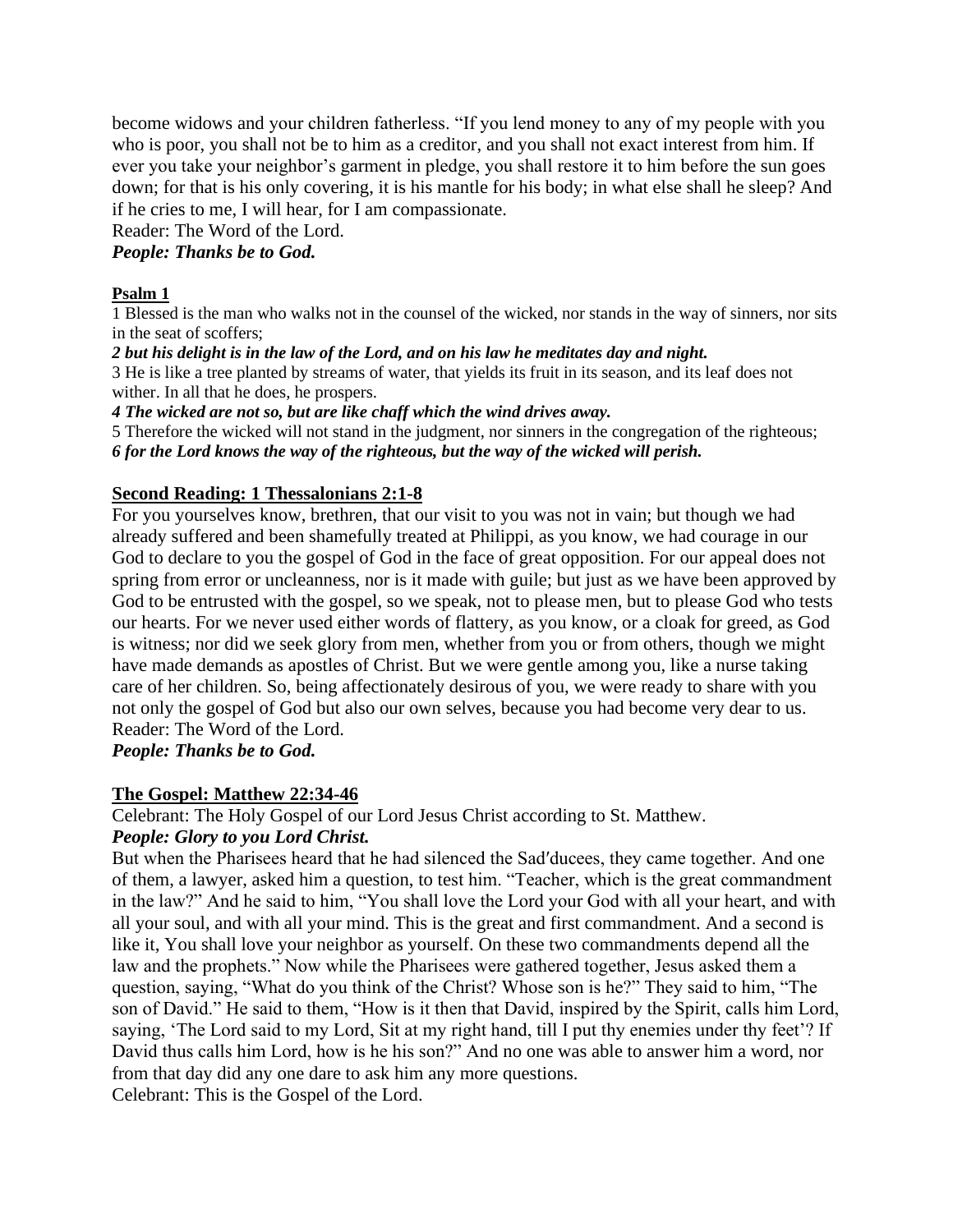become widows and your children fatherless. "If you lend money to any of my people with you who is poor, you shall not be to him as a creditor, and you shall not exact interest from him. If ever you take your neighbor's garment in pledge, you shall restore it to him before the sun goes down; for that is his only covering, it is his mantle for his body; in what else shall he sleep? And if he cries to me, I will hear, for I am compassionate.

Reader: The Word of the Lord.

*People: Thanks be to God.* 

### **Psalm 1**

1 Blessed is the man who walks not in the counsel of the wicked, nor stands in the way of sinners, nor sits in the seat of scoffers;

*2 but his delight is in the law of the Lord, and on his law he meditates day and night.*

3 He is like a tree planted by streams of water, that yields its fruit in its season, and its leaf does not wither. In all that he does, he prospers.

*4 The wicked are not so, but are like chaff which the wind drives away.*

5 Therefore the wicked will not stand in the judgment, nor sinners in the congregation of the righteous; *6 for the Lord knows the way of the righteous, but the way of the wicked will perish.*

# **Second Reading: 1 Thessalonians 2:1-8**

For you yourselves know, brethren, that our visit to you was not in vain; but though we had already suffered and been shamefully treated at Philippi, as you know, we had courage in our God to declare to you the gospel of God in the face of great opposition. For our appeal does not spring from error or uncleanness, nor is it made with guile; but just as we have been approved by God to be entrusted with the gospel, so we speak, not to please men, but to please God who tests our hearts. For we never used either words of flattery, as you know, or a cloak for greed, as God is witness; nor did we seek glory from men, whether from you or from others, though we might have made demands as apostles of Christ. But we were gentle among you, like a nurse taking care of her children. So, being affectionately desirous of you, we were ready to share with you not only the gospel of God but also our own selves, because you had become very dear to us. Reader: The Word of the Lord.

*People: Thanks be to God.* 

#### **The Gospel: Matthew 22:34-46**

Celebrant: The Holy Gospel of our Lord Jesus Christ according to St. Matthew.

## *People: Glory to you Lord Christ.*

But when the Pharisees heard that he had silenced the Sad′ducees, they came together. And one of them, a lawyer, asked him a question, to test him. "Teacher, which is the great commandment in the law?" And he said to him, "You shall love the Lord your God with all your heart, and with all your soul, and with all your mind. This is the great and first commandment. And a second is like it, You shall love your neighbor as yourself. On these two commandments depend all the law and the prophets." Now while the Pharisees were gathered together, Jesus asked them a question, saying, "What do you think of the Christ? Whose son is he?" They said to him, "The son of David." He said to them, "How is it then that David, inspired by the Spirit, calls him Lord, saying, 'The Lord said to my Lord, Sit at my right hand, till I put thy enemies under thy feet'? If David thus calls him Lord, how is he his son?" And no one was able to answer him a word, nor from that day did any one dare to ask him any more questions. Celebrant: This is the Gospel of the Lord.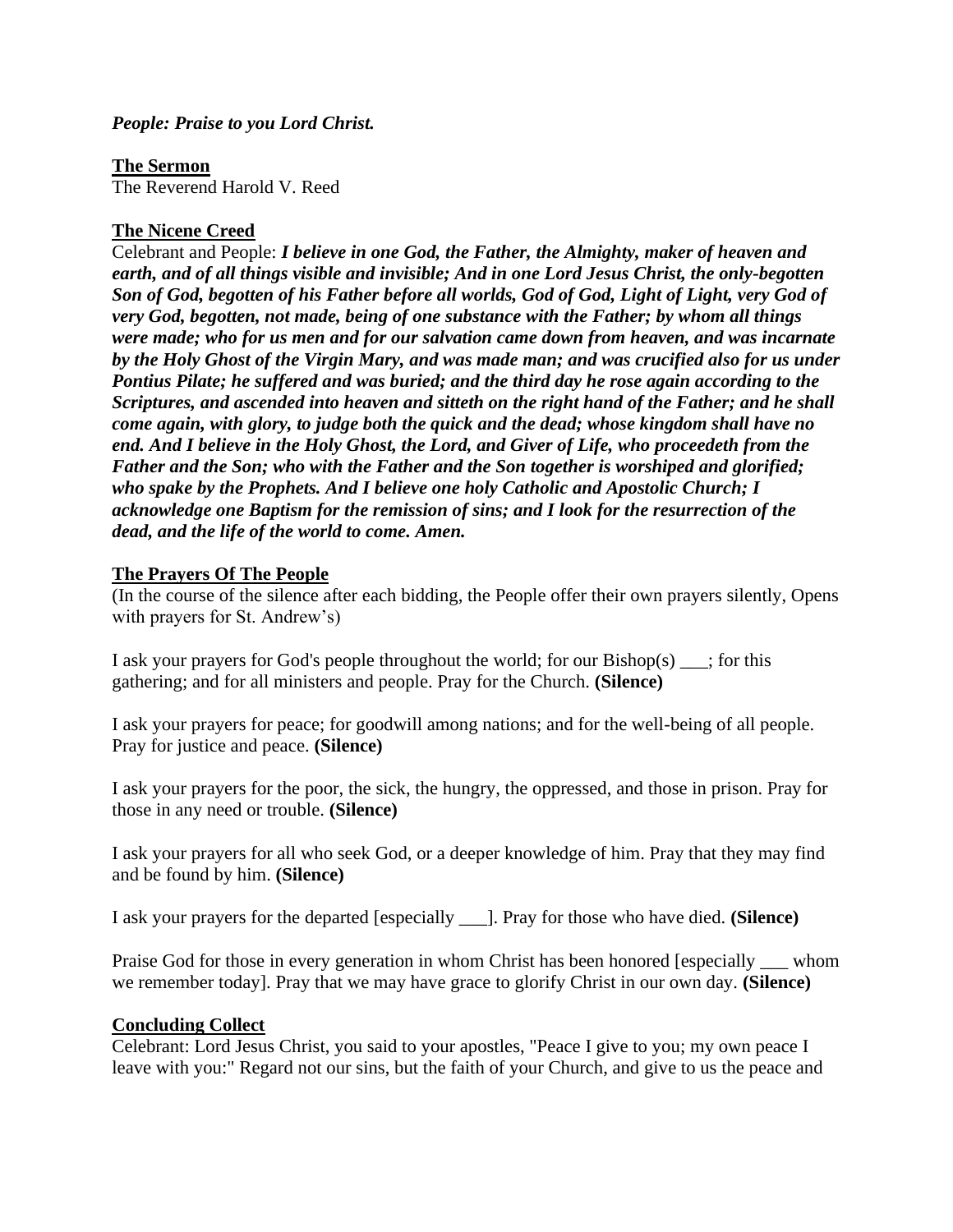*People: Praise to you Lord Christ.* 

**The Sermon** 

The Reverend Harold V. Reed

# **The Nicene Creed**

Celebrant and People: *I believe in one God, the Father, the Almighty, maker of heaven and earth, and of all things visible and invisible; And in one Lord Jesus Christ, the only-begotten Son of God, begotten of his Father before all worlds, God of God, Light of Light, very God of very God, begotten, not made, being of one substance with the Father; by whom all things were made; who for us men and for our salvation came down from heaven, and was incarnate by the Holy Ghost of the Virgin Mary, and was made man; and was crucified also for us under Pontius Pilate; he suffered and was buried; and the third day he rose again according to the Scriptures, and ascended into heaven and sitteth on the right hand of the Father; and he shall come again, with glory, to judge both the quick and the dead; whose kingdom shall have no end. And I believe in the Holy Ghost, the Lord, and Giver of Life, who proceedeth from the Father and the Son; who with the Father and the Son together is worshiped and glorified; who spake by the Prophets. And I believe one holy Catholic and Apostolic Church; I acknowledge one Baptism for the remission of sins; and I look for the resurrection of the dead, and the life of the world to come. Amen.*

# **The Prayers Of The People**

(In the course of the silence after each bidding, the People offer their own prayers silently, Opens with prayers for St. Andrew's)

I ask your prayers for God's people throughout the world; for our Bishop(s)  $\cdot$ ; for this gathering; and for all ministers and people. Pray for the Church. **(Silence)**

I ask your prayers for peace; for goodwill among nations; and for the well-being of all people. Pray for justice and peace. **(Silence)**

I ask your prayers for the poor, the sick, the hungry, the oppressed, and those in prison. Pray for those in any need or trouble. **(Silence)**

I ask your prayers for all who seek God, or a deeper knowledge of him. Pray that they may find and be found by him. **(Silence)**

I ask your prayers for the departed [especially \_\_\_]. Pray for those who have died. **(Silence)**

Praise God for those in every generation in whom Christ has been honored [especially whom we remember today]. Pray that we may have grace to glorify Christ in our own day. **(Silence)**

# **Concluding Collect**

Celebrant: Lord Jesus Christ, you said to your apostles, "Peace I give to you; my own peace I leave with you:" Regard not our sins, but the faith of your Church, and give to us the peace and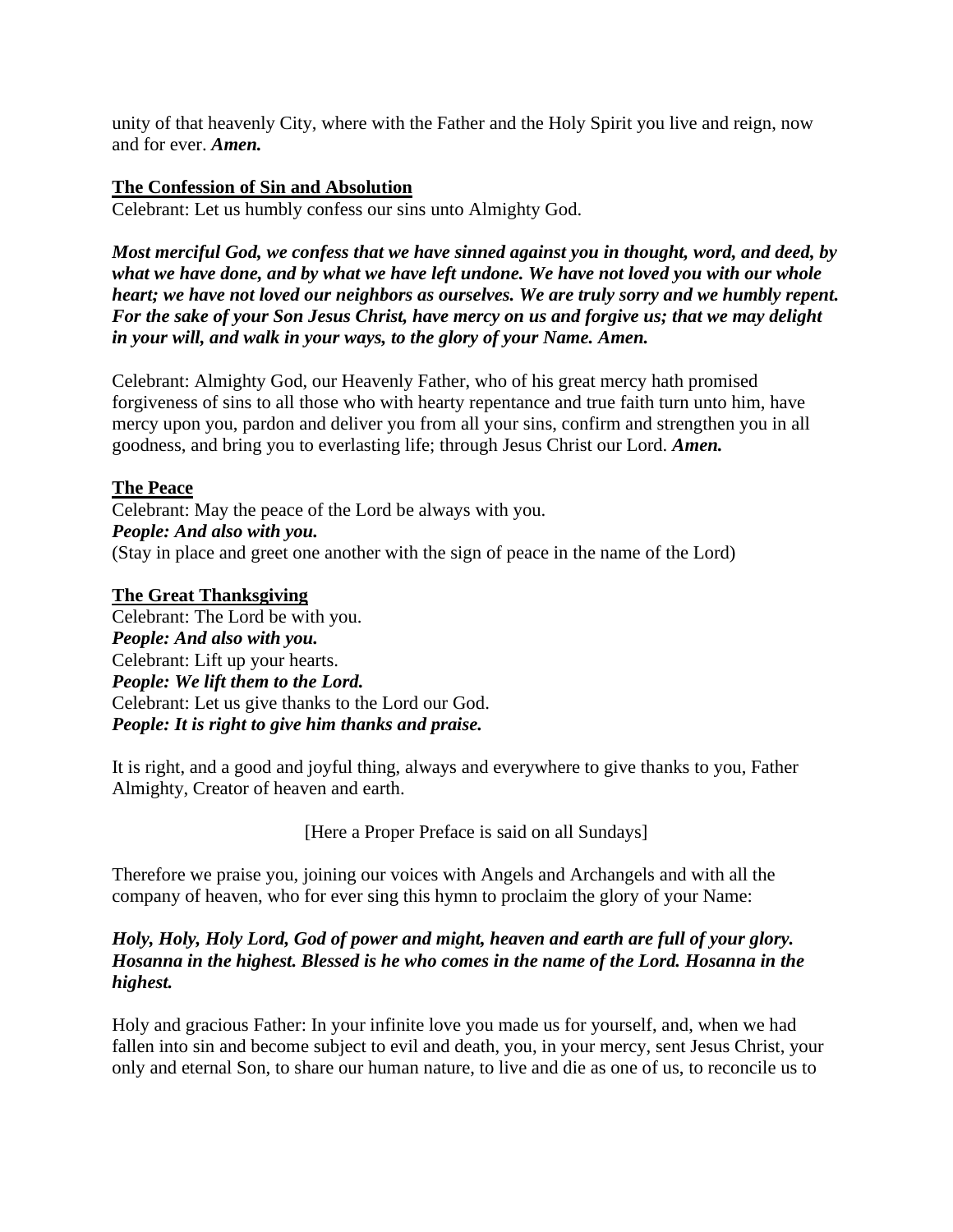unity of that heavenly City, where with the Father and the Holy Spirit you live and reign, now and for ever. *Amen.*

## **The Confession of Sin and Absolution**

Celebrant: Let us humbly confess our sins unto Almighty God.

*Most merciful God, we confess that we have sinned against you in thought, word, and deed, by what we have done, and by what we have left undone. We have not loved you with our whole heart; we have not loved our neighbors as ourselves. We are truly sorry and we humbly repent. For the sake of your Son Jesus Christ, have mercy on us and forgive us; that we may delight in your will, and walk in your ways, to the glory of your Name. Amen.*

Celebrant: Almighty God, our Heavenly Father, who of his great mercy hath promised forgiveness of sins to all those who with hearty repentance and true faith turn unto him, have mercy upon you, pardon and deliver you from all your sins, confirm and strengthen you in all goodness, and bring you to everlasting life; through Jesus Christ our Lord. *Amen.*

# **The Peace**

Celebrant: May the peace of the Lord be always with you. *People: And also with you.* (Stay in place and greet one another with the sign of peace in the name of the Lord)

## **The Great Thanksgiving**

Celebrant: The Lord be with you. *People: And also with you.* Celebrant: Lift up your hearts. *People: We lift them to the Lord.* Celebrant: Let us give thanks to the Lord our God. *People: It is right to give him thanks and praise.*

It is right, and a good and joyful thing, always and everywhere to give thanks to you, Father Almighty, Creator of heaven and earth.

[Here a Proper Preface is said on all Sundays]

Therefore we praise you, joining our voices with Angels and Archangels and with all the company of heaven, who for ever sing this hymn to proclaim the glory of your Name:

## *Holy, Holy, Holy Lord, God of power and might, heaven and earth are full of your glory. Hosanna in the highest. Blessed is he who comes in the name of the Lord. Hosanna in the highest.*

Holy and gracious Father: In your infinite love you made us for yourself, and, when we had fallen into sin and become subject to evil and death, you, in your mercy, sent Jesus Christ, your only and eternal Son, to share our human nature, to live and die as one of us, to reconcile us to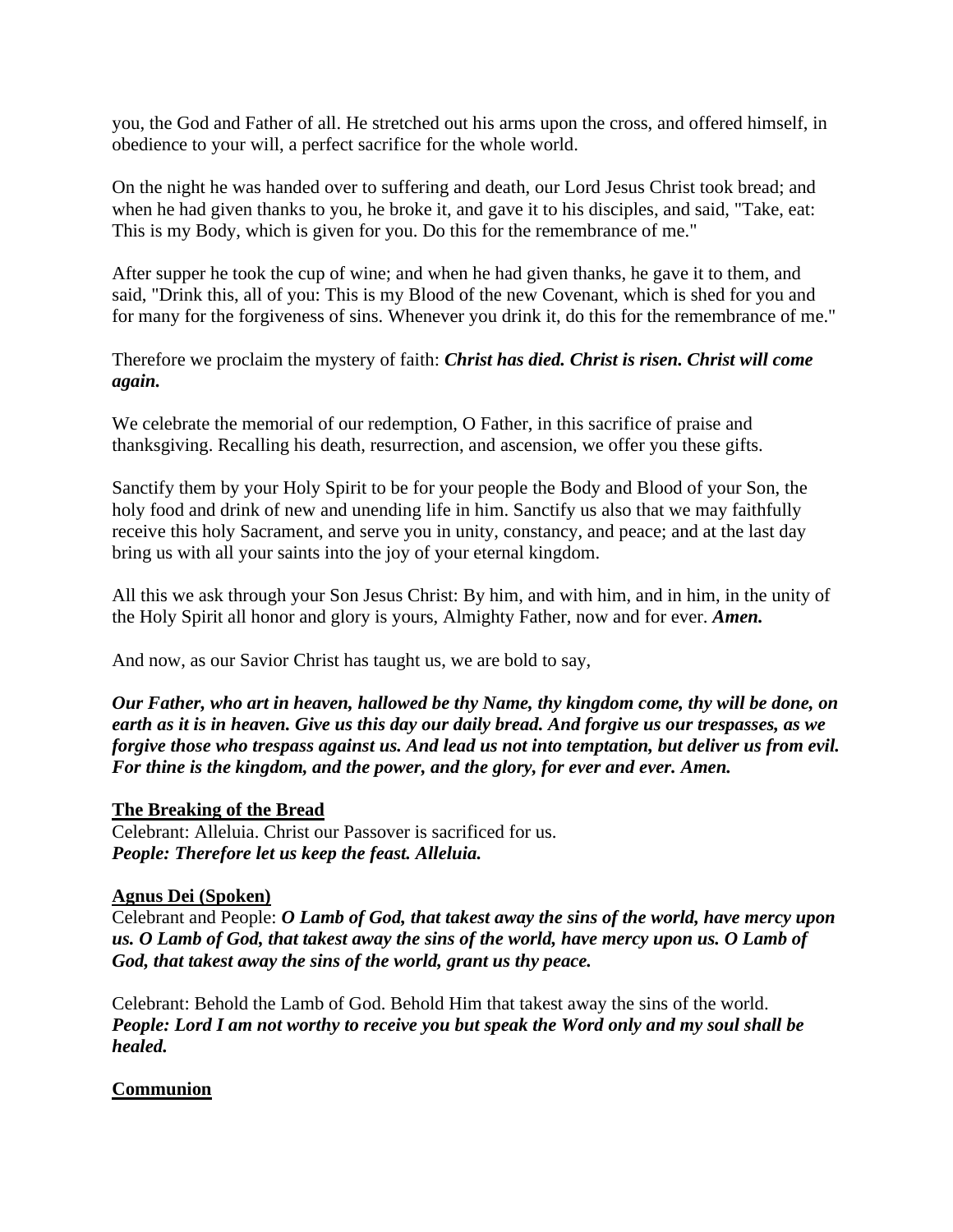you, the God and Father of all. He stretched out his arms upon the cross, and offered himself, in obedience to your will, a perfect sacrifice for the whole world.

On the night he was handed over to suffering and death, our Lord Jesus Christ took bread; and when he had given thanks to you, he broke it, and gave it to his disciples, and said, "Take, eat: This is my Body, which is given for you. Do this for the remembrance of me."

After supper he took the cup of wine; and when he had given thanks, he gave it to them, and said, "Drink this, all of you: This is my Blood of the new Covenant, which is shed for you and for many for the forgiveness of sins. Whenever you drink it, do this for the remembrance of me."

Therefore we proclaim the mystery of faith: *Christ has died. Christ is risen. Christ will come again.*

We celebrate the memorial of our redemption, O Father, in this sacrifice of praise and thanksgiving. Recalling his death, resurrection, and ascension, we offer you these gifts.

Sanctify them by your Holy Spirit to be for your people the Body and Blood of your Son, the holy food and drink of new and unending life in him. Sanctify us also that we may faithfully receive this holy Sacrament, and serve you in unity, constancy, and peace; and at the last day bring us with all your saints into the joy of your eternal kingdom.

All this we ask through your Son Jesus Christ: By him, and with him, and in him, in the unity of the Holy Spirit all honor and glory is yours, Almighty Father, now and for ever. *Amen.*

And now, as our Savior Christ has taught us, we are bold to say,

*Our Father, who art in heaven, hallowed be thy Name, thy kingdom come, thy will be done, on earth as it is in heaven. Give us this day our daily bread. And forgive us our trespasses, as we forgive those who trespass against us. And lead us not into temptation, but deliver us from evil. For thine is the kingdom, and the power, and the glory, for ever and ever. Amen.*

#### **The Breaking of the Bread**

Celebrant: Alleluia. Christ our Passover is sacrificed for us. *People: Therefore let us keep the feast. Alleluia.*

#### **Agnus Dei (Spoken)**

Celebrant and People: *O Lamb of God, that takest away the sins of the world, have mercy upon us. O Lamb of God, that takest away the sins of the world, have mercy upon us. O Lamb of God, that takest away the sins of the world, grant us thy peace.*

Celebrant: Behold the Lamb of God. Behold Him that takest away the sins of the world. *People: Lord I am not worthy to receive you but speak the Word only and my soul shall be healed.*

#### **Communion**